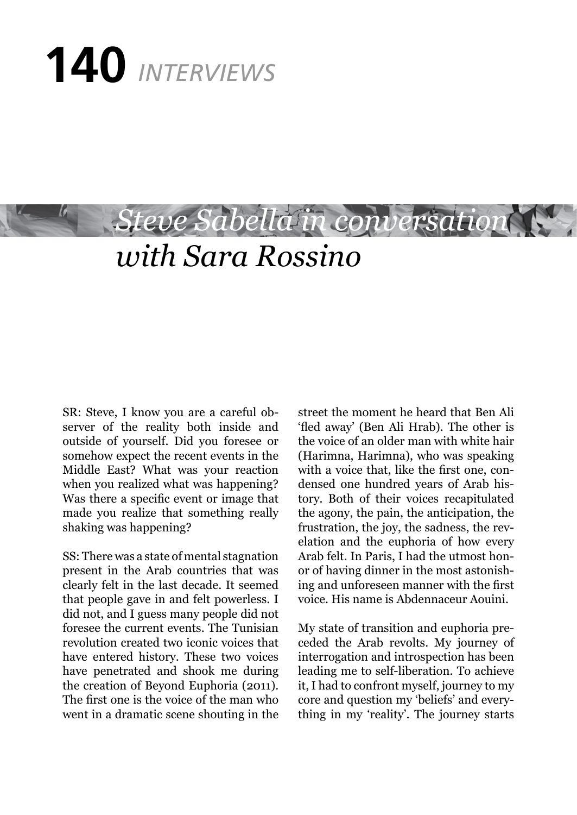#### *Steve Sabella in conversation with Sara Rossino*

SR: Steve, I know you are a careful observer of the reality both inside and outside of yourself. Did you foresee or somehow expect the recent events in the Middle East? What was your reaction when you realized what was happening? Was there a specific event or image that made you realize that something really shaking was happening?

SS: There was a state of mental stagnation present in the Arab countries that was clearly felt in the last decade. It seemed that people gave in and felt powerless. I did not, and I guess many people did not foresee the current events. The Tunisian revolution created two iconic voices that have entered history. These two voices have penetrated and shook me during the creation of Beyond Euphoria (2011). The first one is the voice of the man who went in a dramatic scene shouting in the

street the moment he heard that Ben Ali 'fled away' (Ben Ali Hrab). The other is the voice of an older man with white hair (Harimna, Harimna), who was speaking with a voice that, like the first one, condensed one hundred years of Arab history. Both of their voices recapitulated the agony, the pain, the anticipation, the frustration, the joy, the sadness, the revelation and the euphoria of how every Arab felt. In Paris, I had the utmost honor of having dinner in the most astonishing and unforeseen manner with the first voice. His name is Abdennaceur Aouini.

My state of transition and euphoria preceded the Arab revolts. My journey of interrogation and introspection has been leading me to self-liberation. To achieve it, I had to confront myself, journey to my core and question my 'beliefs' and everything in my 'reality'. The journey starts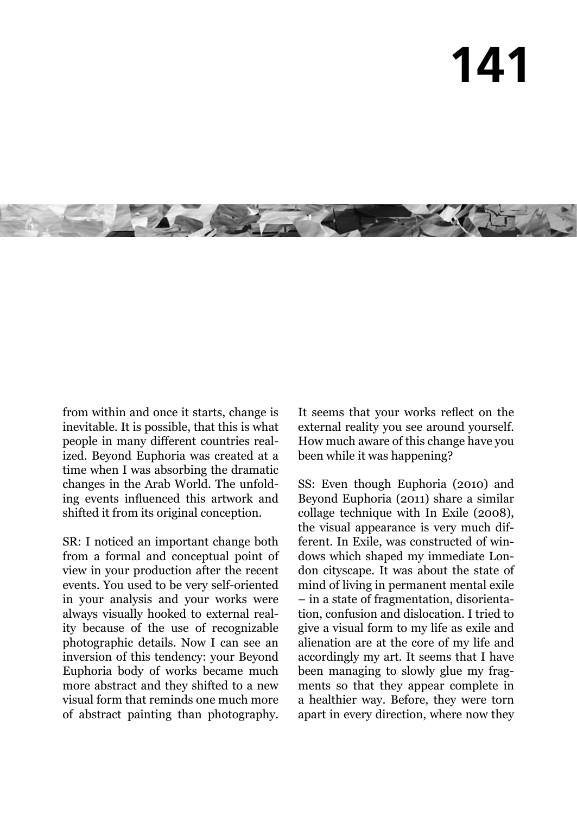# **141**



from within and once it starts, change is inevitable. It is possible, that this is what people in many different countries realized. Beyond Euphoria was created at a time when I was absorbing the dramatic changes in the Arab World. The unfolding events influenced this artwork and shifted it from its original conception.

SR: I noticed an important change both from a formal and conceptual point of view in your production after the recent events. You used to be very self-oriented in your analysis and your works were always visually hooked to external reality because of the use of recognizable photographic details. Now I can see an inversion of this tendency: your Beyond Euphoria body of works became much more abstract and they shifted to a new visual form that reminds one much more of abstract painting than photography.

It seems that your works reflect on the external reality you see around yourself. How much aware of this change have you been while it was happening?

SS: Even though Euphoria (2010) and Beyond Euphoria (2011) share a similar collage technique with In Exile (2008), the visual appearance is very much different. In Exile, was constructed of windows which shaped my immediate London cityscape. It was about the state of mind of living in permanent mental exile – in a state of fragmentation, disorientation, confusion and dislocation. I tried to give a visual form to my life as exile and alienation are at the core of my life and accordingly my art. It seems that I have been managing to slowly glue my fragments so that they appear complete in a healthier way. Before, they were torn apart in every direction, where now they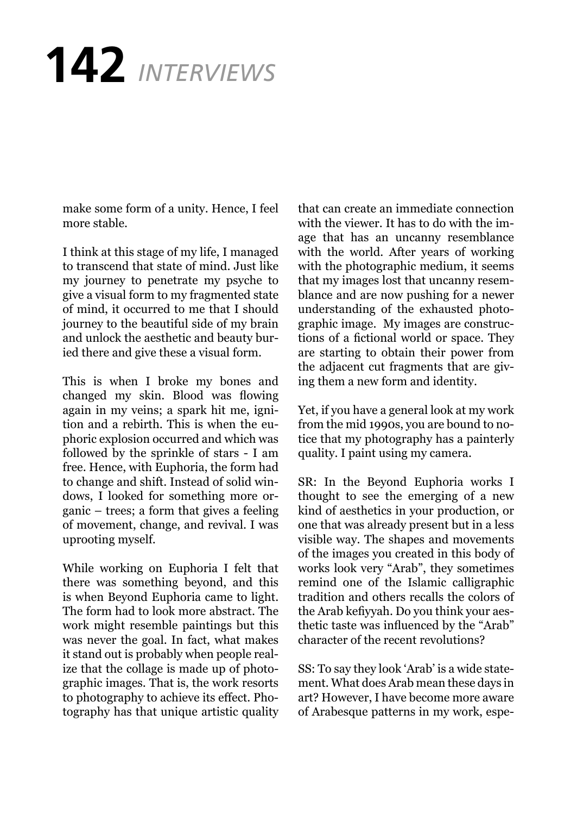make some form of a unity. Hence, I feel more stable.

I think at this stage of my life, I managed to transcend that state of mind. Just like my journey to penetrate my psyche to give a visual form to my fragmented state of mind, it occurred to me that I should journey to the beautiful side of my brain and unlock the aesthetic and beauty buried there and give these a visual form.

This is when I broke my bones and changed my skin. Blood was flowing again in my veins; a spark hit me, ignition and a rebirth. This is when the euphoric explosion occurred and which was followed by the sprinkle of stars - I am free. Hence, with Euphoria, the form had to change and shift. Instead of solid windows, I looked for something more organic – trees; a form that gives a feeling of movement, change, and revival. I was uprooting myself.

While working on Euphoria I felt that there was something beyond, and this is when Beyond Euphoria came to light. The form had to look more abstract. The work might resemble paintings but this was never the goal. In fact, what makes it stand out is probably when people realize that the collage is made up of photographic images. That is, the work resorts to photography to achieve its effect. Photography has that unique artistic quality that can create an immediate connection with the viewer. It has to do with the image that has an uncanny resemblance with the world. After years of working with the photographic medium, it seems that my images lost that uncanny resemblance and are now pushing for a newer understanding of the exhausted photographic image. My images are constructions of a fictional world or space. They are starting to obtain their power from the adjacent cut fragments that are giving them a new form and identity.

Yet, if you have a general look at my work from the mid 1990s, you are bound to notice that my photography has a painterly quality. I paint using my camera.

SR: In the Beyond Euphoria works I thought to see the emerging of a new kind of aesthetics in your production, or one that was already present but in a less visible way. The shapes and movements of the images you created in this body of works look very "Arab", they sometimes remind one of the Islamic calligraphic tradition and others recalls the colors of the Arab kefiyyah. Do you think your aesthetic taste was influenced by the "Arab" character of the recent revolutions?

SS: To say they look 'Arab' is a wide statement. What does Arab mean these days in art? However, I have become more aware of Arabesque patterns in my work, espe-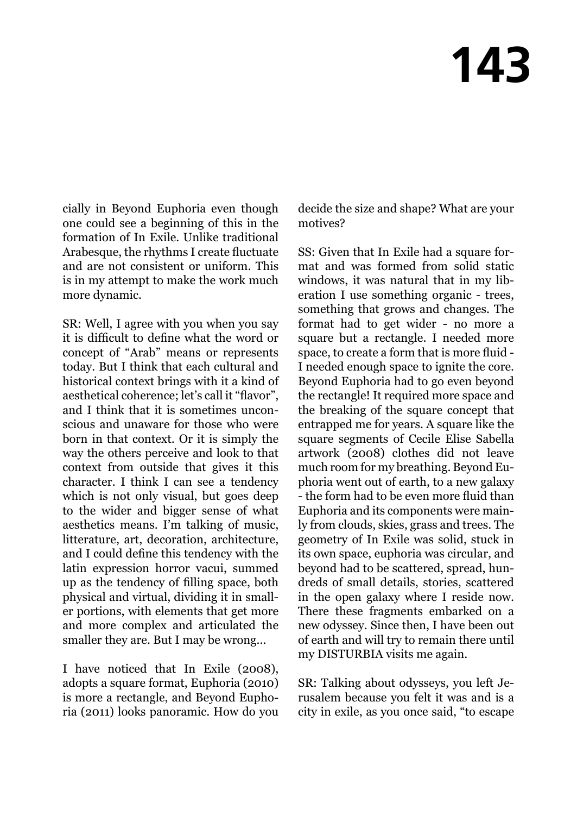# **143**

cially in Beyond Euphoria even though one could see a beginning of this in the formation of In Exile. Unlike traditional Arabesque, the rhythms I create fluctuate and are not consistent or uniform. This is in my attempt to make the work much more dynamic.

SR: Well, I agree with you when you say it is difficult to define what the word or concept of "Arab" means or represents today. But I think that each cultural and historical context brings with it a kind of aesthetical coherence; let's call it "flavor", and I think that it is sometimes unconscious and unaware for those who were born in that context. Or it is simply the way the others perceive and look to that context from outside that gives it this character. I think I can see a tendency which is not only visual, but goes deep to the wider and bigger sense of what aesthetics means. I'm talking of music, litterature, art, decoration, architecture, and I could define this tendency with the latin expression horror vacui, summed up as the tendency of filling space, both physical and virtual, dividing it in smaller portions, with elements that get more and more complex and articulated the smaller they are. But I may be wrong...

I have noticed that In Exile (2008), adopts a square format, Euphoria (2010) is more a rectangle, and Beyond Euphoria (2011) looks panoramic. How do you decide the size and shape? What are your motives?

SS: Given that In Exile had a square format and was formed from solid static windows, it was natural that in my liberation I use something organic - trees, something that grows and changes. The format had to get wider - no more a square but a rectangle. I needed more space, to create a form that is more fluid - I needed enough space to ignite the core. Beyond Euphoria had to go even beyond the rectangle! It required more space and the breaking of the square concept that entrapped me for years. A square like the square segments of Cecile Elise Sabella artwork (2008) clothes did not leave much room for my breathing. Beyond Euphoria went out of earth, to a new galaxy - the form had to be even more fluid than Euphoria and its components were mainly from clouds, skies, grass and trees. The geometry of In Exile was solid, stuck in its own space, euphoria was circular, and beyond had to be scattered, spread, hundreds of small details, stories, scattered in the open galaxy where I reside now. There these fragments embarked on a new odyssey. Since then, I have been out of earth and will try to remain there until my DISTURBIA visits me again.

SR: Talking about odysseys, you left Jerusalem because you felt it was and is a city in exile, as you once said, "to escape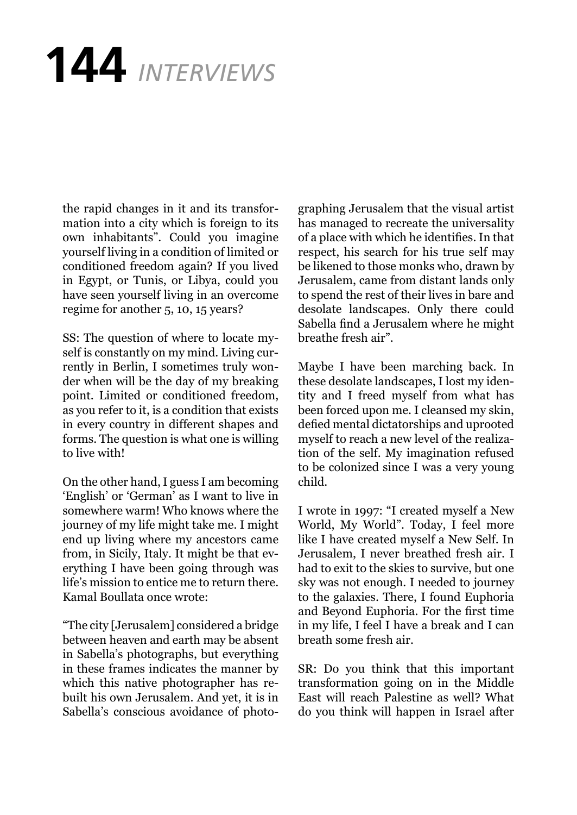the rapid changes in it and its transformation into a city which is foreign to its own inhabitants". Could you imagine yourself living in a condition of limited or conditioned freedom again? If you lived in Egypt, or Tunis, or Libya, could you have seen yourself living in an overcome regime for another 5, 10, 15 years?

SS: The question of where to locate myself is constantly on my mind. Living currently in Berlin, I sometimes truly wonder when will be the day of my breaking point. Limited or conditioned freedom, as you refer to it, is a condition that exists in every country in different shapes and forms. The question is what one is willing to live with!

On the other hand, I guess I am becoming 'English' or 'German' as I want to live in somewhere warm! Who knows where the journey of my life might take me. I might end up living where my ancestors came from, in Sicily, Italy. It might be that everything I have been going through was life's mission to entice me to return there. Kamal Boullata once wrote:

"The city [Jerusalem] considered a bridge between heaven and earth may be absent in Sabella's photographs, but everything in these frames indicates the manner by which this native photographer has rebuilt his own Jerusalem. And yet, it is in Sabella's conscious avoidance of photographing Jerusalem that the visual artist has managed to recreate the universality of a place with which he identifies. In that respect, his search for his true self may be likened to those monks who, drawn by Jerusalem, came from distant lands only to spend the rest of their lives in bare and desolate landscapes. Only there could Sabella find a Jerusalem where he might breathe fresh air".

Maybe I have been marching back. In these desolate landscapes, I lost my identity and I freed myself from what has been forced upon me. I cleansed my skin, defied mental dictatorships and uprooted myself to reach a new level of the realization of the self. My imagination refused to be colonized since I was a very young child.

I wrote in 1997: "I created myself a New World, My World". Today, I feel more like I have created myself a New Self. In Jerusalem, I never breathed fresh air. I had to exit to the skies to survive, but one sky was not enough. I needed to journey to the galaxies. There, I found Euphoria and Beyond Euphoria. For the first time in my life, I feel I have a break and I can breath some fresh air.

SR: Do you think that this important transformation going on in the Middle East will reach Palestine as well? What do you think will happen in Israel after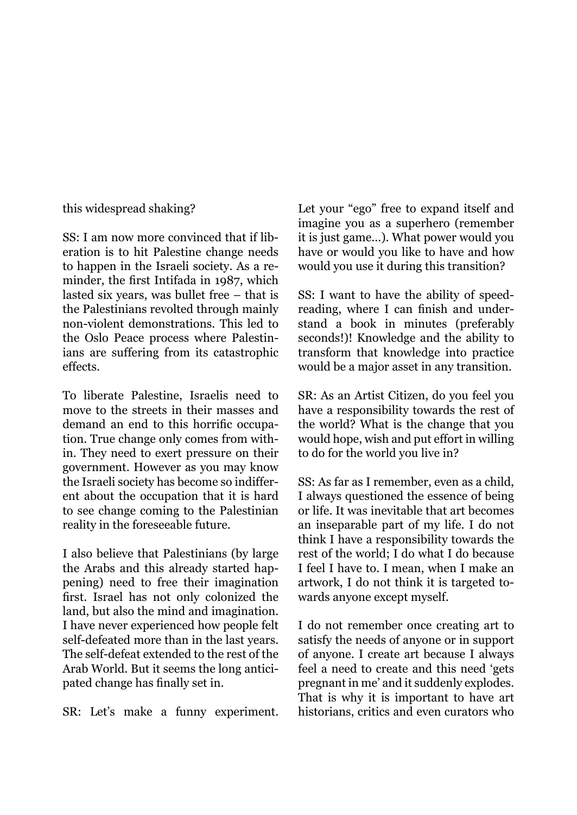this widespread shaking?

SS: I am now more convinced that if liberation is to hit Palestine change needs to happen in the Israeli society. As a reminder, the first Intifada in 1987, which lasted six years, was bullet free – that is the Palestinians revolted through mainly non-violent demonstrations. This led to the Oslo Peace process where Palestinians are suffering from its catastrophic effects.

To liberate Palestine, Israelis need to move to the streets in their masses and demand an end to this horrific occupation. True change only comes from within. They need to exert pressure on their government. However as you may know the Israeli society has become so indifferent about the occupation that it is hard to see change coming to the Palestinian reality in the foreseeable future.

I also believe that Palestinians (by large the Arabs and this already started happening) need to free their imagination first. Israel has not only colonized the land, but also the mind and imagination. I have never experienced how people felt self-defeated more than in the last years. The self-defeat extended to the rest of the Arab World. But it seems the long anticipated change has finally set in.

SR: Let's make a funny experiment.

Let your "ego" free to expand itself and imagine you as a superhero (remember it is just game...). What power would you have or would you like to have and how would you use it during this transition?

SS: I want to have the ability of speedreading, where I can finish and understand a book in minutes (preferably seconds!)! Knowledge and the ability to transform that knowledge into practice would be a major asset in any transition.

SR: As an Artist Citizen, do you feel you have a responsibility towards the rest of the world? What is the change that you would hope, wish and put effort in willing to do for the world you live in?

SS: As far as I remember, even as a child, I always questioned the essence of being or life. It was inevitable that art becomes an inseparable part of my life. I do not think I have a responsibility towards the rest of the world; I do what I do because I feel I have to. I mean, when I make an artwork, I do not think it is targeted towards anyone except myself.

I do not remember once creating art to satisfy the needs of anyone or in support of anyone. I create art because I always feel a need to create and this need 'gets pregnant in me' and it suddenly explodes. That is why it is important to have art historians, critics and even curators who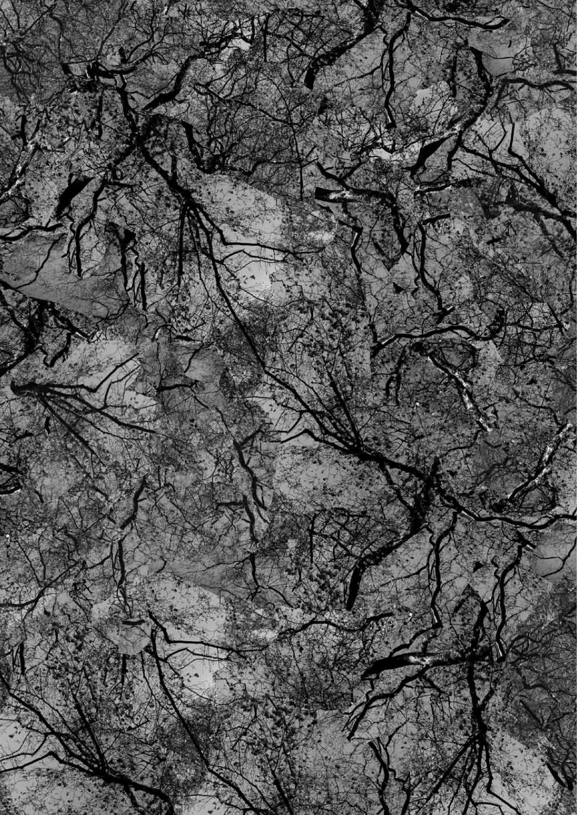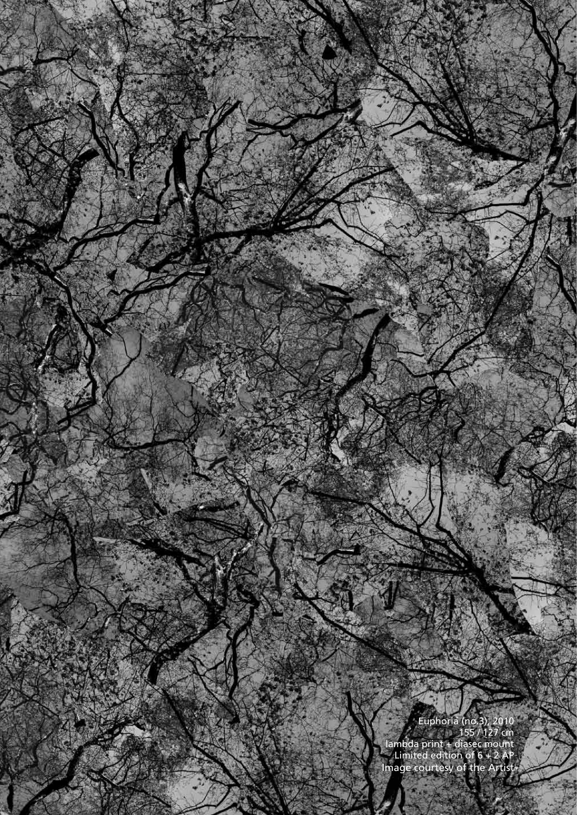Euphoria (no.3), 2010 155 / 127 cm lambda print + diasec mount Limited edition of 6 + 2 AP Image courtesy of the Artist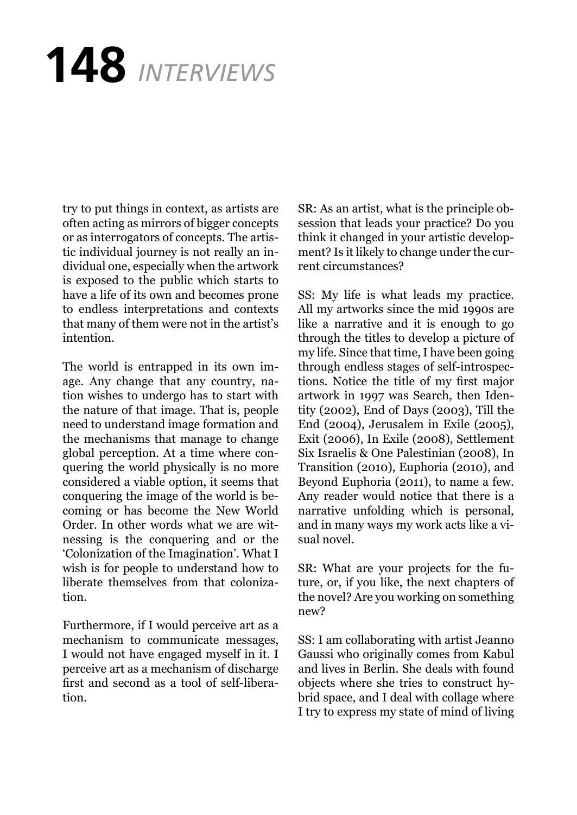try to put things in context, as artists are often acting as mirrors of bigger concepts or as interrogators of concepts. The artistic individual journey is not really an individual one, especially when the artwork is exposed to the public which starts to have a life of its own and becomes prone to endless interpretations and contexts that many of them were not in the artist's intention.

The world is entrapped in its own image. Any change that any country, nation wishes to undergo has to start with the nature of that image. That is, people need to understand image formation and the mechanisms that manage to change global perception. At a time where conquering the world physically is no more considered a viable option, it seems that conquering the image of the world is becoming or has become the New World Order. In other words what we are witnessing is the conquering and or the 'Colonization of the Imagination'. What I wish is for people to understand how to liberate themselves from that colonization.

Furthermore, if I would perceive art as a mechanism to communicate messages, I would not have engaged myself in it. I perceive art as a mechanism of discharge first and second as a tool of self-liberation.

SR: As an artist, what is the principle obsession that leads your practice? Do you think it changed in your artistic development? Is it likely to change under the current circumstances?

SS: My life is what leads my practice. All my artworks since the mid 1990s are like a narrative and it is enough to go through the titles to develop a picture of my life. Since that time, I have been going through endless stages of self-introspections. Notice the title of my first major artwork in 1997 was Search, then Identity (2002), End of Days (2003), Till the End (2004), Jerusalem in Exile (2005), Exit (2006), In Exile (2008), Settlement Six Israelis & One Palestinian (2008), In Transition (2010), Euphoria (2010), and Beyond Euphoria (2011), to name a few. Any reader would notice that there is a narrative unfolding which is personal, and in many ways my work acts like a visual novel.

SR: What are your projects for the future, or, if you like, the next chapters of the novel? Are you working on something new?

SS: I am collaborating with artist Jeanno Gaussi who originally comes from Kabul and lives in Berlin. She deals with found objects where she tries to construct hybrid space, and I deal with collage where I try to express my state of mind of living